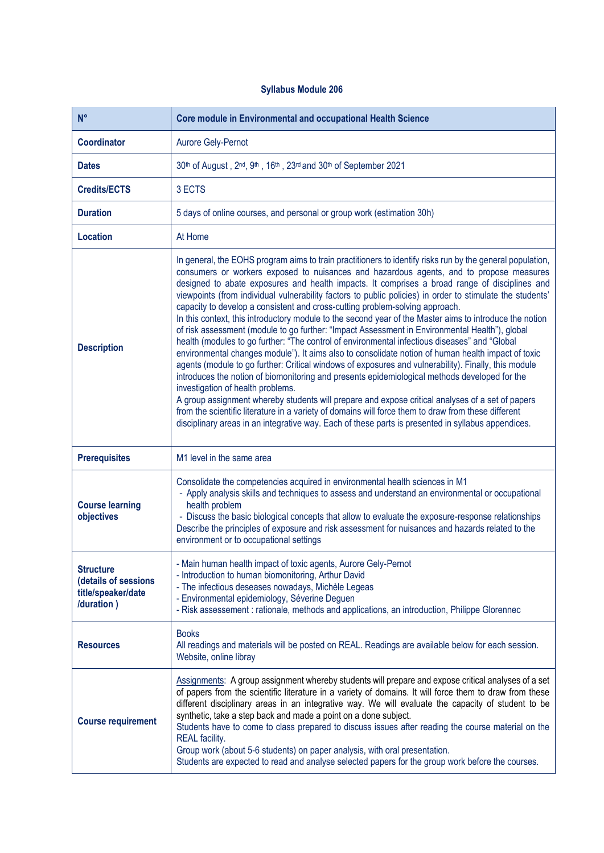## **Syllabus Module 206**

| $N^{\circ}$                                                                  | <b>Core module in Environmental and occupational Health Science</b>                                                                                                                                                                                                                                                                                                                                                                                                                                                                                                                                                                                                                                                                                                                                                                                                                                                                                                                                                                                                                                                                                                                                                                                                                                                                                                                                                                                                                   |
|------------------------------------------------------------------------------|---------------------------------------------------------------------------------------------------------------------------------------------------------------------------------------------------------------------------------------------------------------------------------------------------------------------------------------------------------------------------------------------------------------------------------------------------------------------------------------------------------------------------------------------------------------------------------------------------------------------------------------------------------------------------------------------------------------------------------------------------------------------------------------------------------------------------------------------------------------------------------------------------------------------------------------------------------------------------------------------------------------------------------------------------------------------------------------------------------------------------------------------------------------------------------------------------------------------------------------------------------------------------------------------------------------------------------------------------------------------------------------------------------------------------------------------------------------------------------------|
| <b>Coordinator</b>                                                           | Aurore Gely-Pernot                                                                                                                                                                                                                                                                                                                                                                                                                                                                                                                                                                                                                                                                                                                                                                                                                                                                                                                                                                                                                                                                                                                                                                                                                                                                                                                                                                                                                                                                    |
| <b>Dates</b>                                                                 | 30th of August, 2nd, 9th, 16th, 23rd and 30th of September 2021                                                                                                                                                                                                                                                                                                                                                                                                                                                                                                                                                                                                                                                                                                                                                                                                                                                                                                                                                                                                                                                                                                                                                                                                                                                                                                                                                                                                                       |
| <b>Credits/ECTS</b>                                                          | 3 ECTS                                                                                                                                                                                                                                                                                                                                                                                                                                                                                                                                                                                                                                                                                                                                                                                                                                                                                                                                                                                                                                                                                                                                                                                                                                                                                                                                                                                                                                                                                |
| <b>Duration</b>                                                              | 5 days of online courses, and personal or group work (estimation 30h)                                                                                                                                                                                                                                                                                                                                                                                                                                                                                                                                                                                                                                                                                                                                                                                                                                                                                                                                                                                                                                                                                                                                                                                                                                                                                                                                                                                                                 |
| <b>Location</b>                                                              | At Home                                                                                                                                                                                                                                                                                                                                                                                                                                                                                                                                                                                                                                                                                                                                                                                                                                                                                                                                                                                                                                                                                                                                                                                                                                                                                                                                                                                                                                                                               |
| <b>Description</b>                                                           | In general, the EOHS program aims to train practitioners to identify risks run by the general population,<br>consumers or workers exposed to nuisances and hazardous agents, and to propose measures<br>designed to abate exposures and health impacts. It comprises a broad range of disciplines and<br>viewpoints (from individual vulnerability factors to public policies) in order to stimulate the students'<br>capacity to develop a consistent and cross-cutting problem-solving approach.<br>In this context, this introductory module to the second year of the Master aims to introduce the notion<br>of risk assessment (module to go further: "Impact Assessment in Environmental Health"), global<br>health (modules to go further: "The control of environmental infectious diseases" and "Global<br>environmental changes module"). It aims also to consolidate notion of human health impact of toxic<br>agents (module to go further: Critical windows of exposures and vulnerability). Finally, this module<br>introduces the notion of biomonitoring and presents epidemiological methods developed for the<br>investigation of health problems.<br>A group assignment whereby students will prepare and expose critical analyses of a set of papers<br>from the scientific literature in a variety of domains will force them to draw from these different<br>disciplinary areas in an integrative way. Each of these parts is presented in syllabus appendices. |
| <b>Prerequisites</b>                                                         | M1 level in the same area                                                                                                                                                                                                                                                                                                                                                                                                                                                                                                                                                                                                                                                                                                                                                                                                                                                                                                                                                                                                                                                                                                                                                                                                                                                                                                                                                                                                                                                             |
| <b>Course learning</b><br>objectives                                         | Consolidate the competencies acquired in environmental health sciences in M1<br>- Apply analysis skills and techniques to assess and understand an environmental or occupational<br>health problem<br>- Discuss the basic biological concepts that allow to evaluate the exposure-response relationships<br>Describe the principles of exposure and risk assessment for nuisances and hazards related to the<br>environment or to occupational settings                                                                                                                                                                                                                                                                                                                                                                                                                                                                                                                                                                                                                                                                                                                                                                                                                                                                                                                                                                                                                               |
| <b>Structure</b><br>(details of sessions<br>title/speaker/date<br>/duration) | - Main human health impact of toxic agents, Aurore Gely-Pernot<br>- Introduction to human biomonitoring, Arthur David<br>- The infectious deseases nowadays, Michèle Legeas<br>- Environmental epidemiology, Séverine Deguen<br>- Risk assessement : rationale, methods and applications, an introduction, Philippe Glorennec                                                                                                                                                                                                                                                                                                                                                                                                                                                                                                                                                                                                                                                                                                                                                                                                                                                                                                                                                                                                                                                                                                                                                         |
| <b>Resources</b>                                                             | <b>Books</b><br>All readings and materials will be posted on REAL. Readings are available below for each session.<br>Website, online libray                                                                                                                                                                                                                                                                                                                                                                                                                                                                                                                                                                                                                                                                                                                                                                                                                                                                                                                                                                                                                                                                                                                                                                                                                                                                                                                                           |
| <b>Course requirement</b>                                                    | Assignments: A group assignment whereby students will prepare and expose critical analyses of a set<br>of papers from the scientific literature in a variety of domains. It will force them to draw from these<br>different disciplinary areas in an integrative way. We will evaluate the capacity of student to be<br>synthetic, take a step back and made a point on a done subject.<br>Students have to come to class prepared to discuss issues after reading the course material on the<br>REAL facility.<br>Group work (about 5-6 students) on paper analysis, with oral presentation.<br>Students are expected to read and analyse selected papers for the group work before the courses.                                                                                                                                                                                                                                                                                                                                                                                                                                                                                                                                                                                                                                                                                                                                                                                     |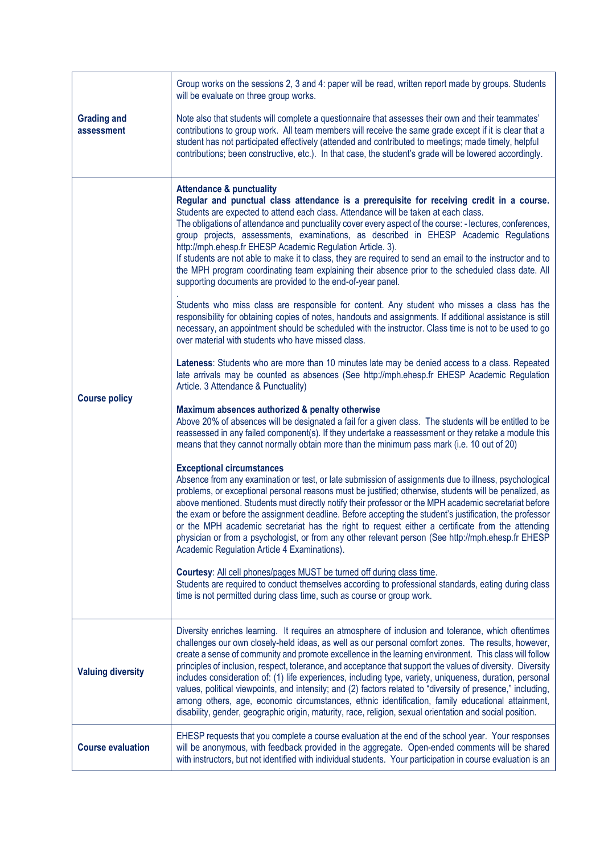| <b>Grading and</b><br>assessment | Group works on the sessions 2, 3 and 4: paper will be read, written report made by groups. Students<br>will be evaluate on three group works.<br>Note also that students will complete a questionnaire that assesses their own and their teammates'<br>contributions to group work. All team members will receive the same grade except if it is clear that a<br>student has not participated effectively (attended and contributed to meetings; made timely, helpful<br>contributions; been constructive, etc.). In that case, the student's grade will be lowered accordingly.                                                                                                                                                                                                                                                                                                                                                                                                                                                                                                                                                                                                                                                                                                                                                                                                                                                                                                                                                                                                                                                                                                                                                                                                                                                                                                                                                                                                                                                                                                                                                                                                                                                                                                                                                                                                                                                                                                                                                                                                                                                                                                                                                                                   |
|----------------------------------|--------------------------------------------------------------------------------------------------------------------------------------------------------------------------------------------------------------------------------------------------------------------------------------------------------------------------------------------------------------------------------------------------------------------------------------------------------------------------------------------------------------------------------------------------------------------------------------------------------------------------------------------------------------------------------------------------------------------------------------------------------------------------------------------------------------------------------------------------------------------------------------------------------------------------------------------------------------------------------------------------------------------------------------------------------------------------------------------------------------------------------------------------------------------------------------------------------------------------------------------------------------------------------------------------------------------------------------------------------------------------------------------------------------------------------------------------------------------------------------------------------------------------------------------------------------------------------------------------------------------------------------------------------------------------------------------------------------------------------------------------------------------------------------------------------------------------------------------------------------------------------------------------------------------------------------------------------------------------------------------------------------------------------------------------------------------------------------------------------------------------------------------------------------------------------------------------------------------------------------------------------------------------------------------------------------------------------------------------------------------------------------------------------------------------------------------------------------------------------------------------------------------------------------------------------------------------------------------------------------------------------------------------------------------------------------------------------------------------------------------------------------------|
| <b>Course policy</b>             | <b>Attendance &amp; punctuality</b><br>Regular and punctual class attendance is a prerequisite for receiving credit in a course.<br>Students are expected to attend each class. Attendance will be taken at each class.<br>The obligations of attendance and punctuality cover every aspect of the course: - lectures, conferences,<br>group projects, assessments, examinations, as described in EHESP Academic Regulations<br>http://mph.ehesp.fr EHESP Academic Regulation Article. 3).<br>If students are not able to make it to class, they are required to send an email to the instructor and to<br>the MPH program coordinating team explaining their absence prior to the scheduled class date. All<br>supporting documents are provided to the end-of-year panel.<br>Students who miss class are responsible for content. Any student who misses a class has the<br>responsibility for obtaining copies of notes, handouts and assignments. If additional assistance is still<br>necessary, an appointment should be scheduled with the instructor. Class time is not to be used to go<br>over material with students who have missed class.<br>Lateness: Students who are more than 10 minutes late may be denied access to a class. Repeated<br>late arrivals may be counted as absences (See http://mph.ehesp.fr EHESP Academic Regulation<br>Article. 3 Attendance & Punctuality)<br>Maximum absences authorized & penalty otherwise<br>Above 20% of absences will be designated a fail for a given class. The students will be entitled to be<br>reassessed in any failed component(s). If they undertake a reassessment or they retake a module this<br>means that they cannot normally obtain more than the minimum pass mark (i.e. 10 out of 20)<br><b>Exceptional circumstances</b><br>Absence from any examination or test, or late submission of assignments due to illness, psychological<br>problems, or exceptional personal reasons must be justified; otherwise, students will be penalized, as<br>above mentioned. Students must directly notify their professor or the MPH academic secretariat before<br>the exam or before the assignment deadline. Before accepting the student's justification, the professor<br>or the MPH academic secretariat has the right to request either a certificate from the attending<br>physician or from a psychologist, or from any other relevant person (See http://mph.ehesp.fr EHESP<br>Academic Regulation Article 4 Examinations).<br>Courtesy: All cell phones/pages MUST be turned off during class time.<br>Students are required to conduct themselves according to professional standards, eating during class<br>time is not permitted during class time, such as course or group work. |
| <b>Valuing diversity</b>         | Diversity enriches learning. It requires an atmosphere of inclusion and tolerance, which oftentimes<br>challenges our own closely-held ideas, as well as our personal comfort zones. The results, however,<br>create a sense of community and promote excellence in the learning environment. This class will follow<br>principles of inclusion, respect, tolerance, and acceptance that support the values of diversity. Diversity<br>includes consideration of: (1) life experiences, including type, variety, uniqueness, duration, personal<br>values, political viewpoints, and intensity; and (2) factors related to "diversity of presence," including,<br>among others, age, economic circumstances, ethnic identification, family educational attainment,<br>disability, gender, geographic origin, maturity, race, religion, sexual orientation and social position.                                                                                                                                                                                                                                                                                                                                                                                                                                                                                                                                                                                                                                                                                                                                                                                                                                                                                                                                                                                                                                                                                                                                                                                                                                                                                                                                                                                                                                                                                                                                                                                                                                                                                                                                                                                                                                                                                     |
| <b>Course evaluation</b>         | EHESP requests that you complete a course evaluation at the end of the school year. Your responses<br>will be anonymous, with feedback provided in the aggregate. Open-ended comments will be shared<br>with instructors, but not identified with individual students. Your participation in course evaluation is an                                                                                                                                                                                                                                                                                                                                                                                                                                                                                                                                                                                                                                                                                                                                                                                                                                                                                                                                                                                                                                                                                                                                                                                                                                                                                                                                                                                                                                                                                                                                                                                                                                                                                                                                                                                                                                                                                                                                                                                                                                                                                                                                                                                                                                                                                                                                                                                                                                               |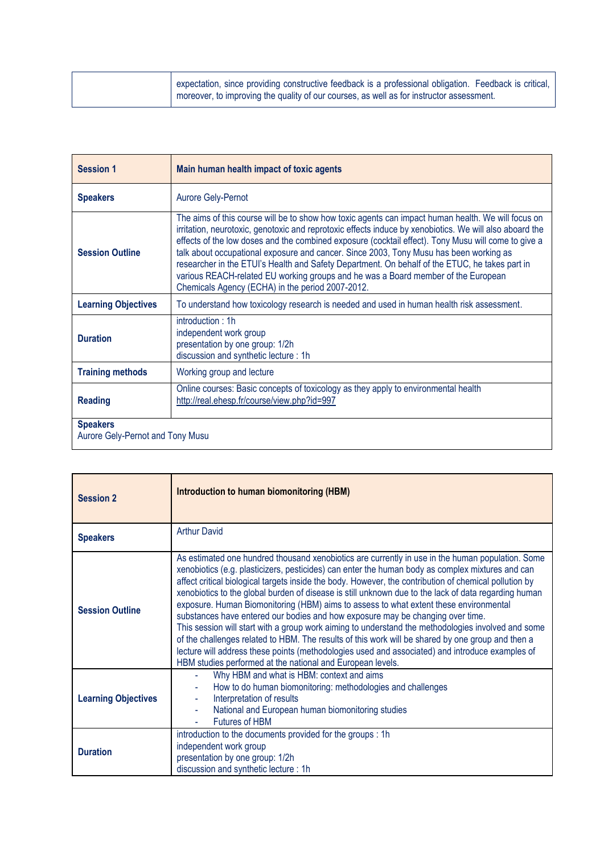|  | expectation, since providing constructive feedback is a professional obligation. Feedback is critical,<br>I moreover, to improving the quality of our courses, as well as for instructor assessment. |
|--|------------------------------------------------------------------------------------------------------------------------------------------------------------------------------------------------------|
|  |                                                                                                                                                                                                      |

| <b>Session 1</b>                                    | Main human health impact of toxic agents                                                                                                                                                                                                                                                                                                                                                                                                                                                                                                                                                                                                                  |
|-----------------------------------------------------|-----------------------------------------------------------------------------------------------------------------------------------------------------------------------------------------------------------------------------------------------------------------------------------------------------------------------------------------------------------------------------------------------------------------------------------------------------------------------------------------------------------------------------------------------------------------------------------------------------------------------------------------------------------|
| <b>Speakers</b>                                     | <b>Aurore Gely-Pernot</b>                                                                                                                                                                                                                                                                                                                                                                                                                                                                                                                                                                                                                                 |
| <b>Session Outline</b>                              | The aims of this course will be to show how toxic agents can impact human health. We will focus on<br>irritation, neurotoxic, genotoxic and reprotoxic effects induce by xenobiotics. We will also aboard the<br>effects of the low doses and the combined exposure (cocktail effect). Tony Musu will come to give a<br>talk about occupational exposure and cancer. Since 2003, Tony Musu has been working as<br>researcher in the ETUI's Health and Safety Department. On behalf of the ETUC, he takes part in<br>various REACH-related EU working groups and he was a Board member of the European<br>Chemicals Agency (ECHA) in the period 2007-2012. |
| <b>Learning Objectives</b>                          | To understand how toxicology research is needed and used in human health risk assessment.                                                                                                                                                                                                                                                                                                                                                                                                                                                                                                                                                                 |
| <b>Duration</b>                                     | introduction:1h<br>independent work group<br>presentation by one group: 1/2h<br>discussion and synthetic lecture: 1h                                                                                                                                                                                                                                                                                                                                                                                                                                                                                                                                      |
| <b>Training methods</b>                             | Working group and lecture                                                                                                                                                                                                                                                                                                                                                                                                                                                                                                                                                                                                                                 |
| <b>Reading</b>                                      | Online courses: Basic concepts of toxicology as they apply to environmental health<br>http://real.ehesp.fr/course/view.php?id=997                                                                                                                                                                                                                                                                                                                                                                                                                                                                                                                         |
| <b>Speakers</b><br>Aurore Gely-Pernot and Tony Musu |                                                                                                                                                                                                                                                                                                                                                                                                                                                                                                                                                                                                                                                           |

| <b>Session 2</b>           | <b>Introduction to human biomonitoring (HBM)</b>                                                                                                                                                                                                                                                                                                                                                                                                                                                                                                                                                                                                                                                                                                                                                                                                                                                                                                                              |
|----------------------------|-------------------------------------------------------------------------------------------------------------------------------------------------------------------------------------------------------------------------------------------------------------------------------------------------------------------------------------------------------------------------------------------------------------------------------------------------------------------------------------------------------------------------------------------------------------------------------------------------------------------------------------------------------------------------------------------------------------------------------------------------------------------------------------------------------------------------------------------------------------------------------------------------------------------------------------------------------------------------------|
| <b>Speakers</b>            | <b>Arthur David</b>                                                                                                                                                                                                                                                                                                                                                                                                                                                                                                                                                                                                                                                                                                                                                                                                                                                                                                                                                           |
| <b>Session Outline</b>     | As estimated one hundred thousand xenobiotics are currently in use in the human population. Some<br>xenobiotics (e.g. plasticizers, pesticides) can enter the human body as complex mixtures and can<br>affect critical biological targets inside the body. However, the contribution of chemical pollution by<br>xenobiotics to the global burden of disease is still unknown due to the lack of data regarding human<br>exposure. Human Biomonitoring (HBM) aims to assess to what extent these environmental<br>substances have entered our bodies and how exposure may be changing over time.<br>This session will start with a group work aiming to understand the methodologies involved and some<br>of the challenges related to HBM. The results of this work will be shared by one group and then a<br>lecture will address these points (methodologies used and associated) and introduce examples of<br>HBM studies performed at the national and European levels. |
| <b>Learning Objectives</b> | Why HBM and what is HBM: context and aims<br>Ξ<br>How to do human biomonitoring: methodologies and challenges<br>Interpretation of results<br>National and European human biomonitoring studies<br><b>Futures of HBM</b>                                                                                                                                                                                                                                                                                                                                                                                                                                                                                                                                                                                                                                                                                                                                                      |
| <b>Duration</b>            | introduction to the documents provided for the groups : 1h<br>independent work group<br>presentation by one group: 1/2h<br>discussion and synthetic lecture: 1h                                                                                                                                                                                                                                                                                                                                                                                                                                                                                                                                                                                                                                                                                                                                                                                                               |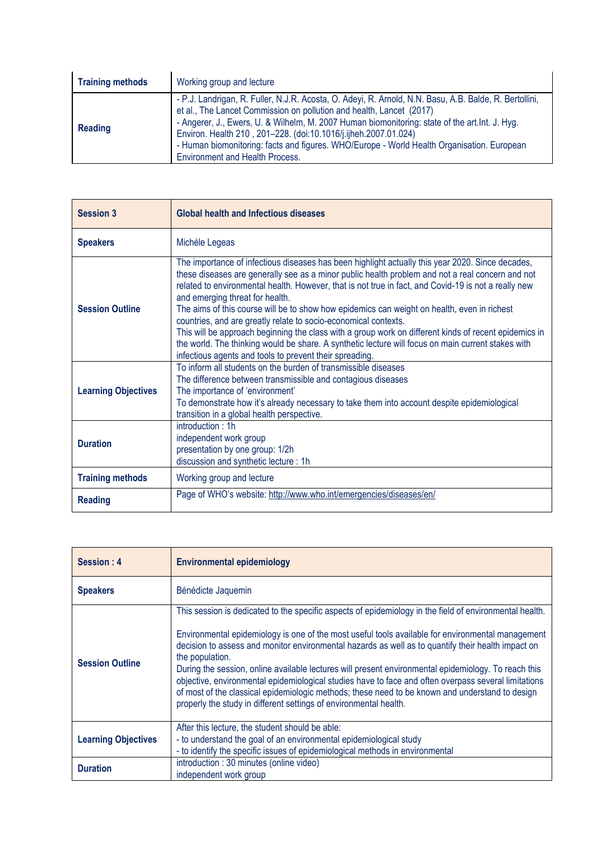| <b>Training methods</b> | Working group and lecture                                                                                                                                                                                                                                                                                                                                                                                                                                                                    |
|-------------------------|----------------------------------------------------------------------------------------------------------------------------------------------------------------------------------------------------------------------------------------------------------------------------------------------------------------------------------------------------------------------------------------------------------------------------------------------------------------------------------------------|
| <b>Reading</b>          | - P.J. Landrigan, R. Fuller, N.J.R. Acosta, O. Adeyi, R. Arnold, N.N. Basu, A.B. Balde, R. Bertollini,<br>et al., The Lancet Commission on pollution and health, Lancet (2017)<br>- Angerer, J., Ewers, U. & Wilhelm, M. 2007 Human biomonitoring: state of the art. Int. J. Hyg.<br>Environ. Health 210, 201-228. (doi:10.1016/j.ijheh.2007.01.024)<br>- Human biomonitoring: facts and figures. WHO/Europe - World Health Organisation. European<br><b>Environment and Health Process.</b> |

| <b>Session 3</b>           | <b>Global health and Infectious diseases</b>                                                                                                                                                                                                                                                                                                                                                                                                                                                                                                                                                                                                                                                                                                                                                |
|----------------------------|---------------------------------------------------------------------------------------------------------------------------------------------------------------------------------------------------------------------------------------------------------------------------------------------------------------------------------------------------------------------------------------------------------------------------------------------------------------------------------------------------------------------------------------------------------------------------------------------------------------------------------------------------------------------------------------------------------------------------------------------------------------------------------------------|
| <b>Speakers</b>            | Michèle Legeas                                                                                                                                                                                                                                                                                                                                                                                                                                                                                                                                                                                                                                                                                                                                                                              |
| <b>Session Outline</b>     | The importance of infectious diseases has been highlight actually this year 2020. Since decades,<br>these diseases are generally see as a minor public health problem and not a real concern and not<br>related to environmental health. However, that is not true in fact, and Covid-19 is not a really new<br>and emerging threat for health.<br>The aims of this course will be to show how epidemics can weight on health, even in richest<br>countries, and are greatly relate to socio-economical contexts.<br>This will be approach beginning the class with a group work on different kinds of recent epidemics in<br>the world. The thinking would be share. A synthetic lecture will focus on main current stakes with<br>infectious agents and tools to prevent their spreading. |
| <b>Learning Objectives</b> | To inform all students on the burden of transmissible diseases<br>The difference between transmissible and contagious diseases<br>The importance of 'environment'<br>To demonstrate how it's already necessary to take them into account despite epidemiological<br>transition in a global health perspective.                                                                                                                                                                                                                                                                                                                                                                                                                                                                              |
| <b>Duration</b>            | introduction:1h<br>independent work group<br>presentation by one group: 1/2h<br>discussion and synthetic lecture: 1h                                                                                                                                                                                                                                                                                                                                                                                                                                                                                                                                                                                                                                                                        |
| <b>Training methods</b>    | Working group and lecture                                                                                                                                                                                                                                                                                                                                                                                                                                                                                                                                                                                                                                                                                                                                                                   |
| <b>Reading</b>             | Page of WHO's website: http://www.who.int/emergencies/diseases/en/                                                                                                                                                                                                                                                                                                                                                                                                                                                                                                                                                                                                                                                                                                                          |

| Session: 4                 | <b>Environmental epidemiology</b>                                                                                                                                                                                                                                                                                                                                                                                                                                                                                                                                                                                                                                                                                             |
|----------------------------|-------------------------------------------------------------------------------------------------------------------------------------------------------------------------------------------------------------------------------------------------------------------------------------------------------------------------------------------------------------------------------------------------------------------------------------------------------------------------------------------------------------------------------------------------------------------------------------------------------------------------------------------------------------------------------------------------------------------------------|
| <b>Speakers</b>            | Bénédicte Jaquemin                                                                                                                                                                                                                                                                                                                                                                                                                                                                                                                                                                                                                                                                                                            |
| <b>Session Outline</b>     | This session is dedicated to the specific aspects of epidemiology in the field of environmental health.<br>Environmental epidemiology is one of the most useful tools available for environmental management<br>decision to assess and monitor environmental hazards as well as to quantify their health impact on<br>the population.<br>During the session, online available lectures will present environmental epidemiology. To reach this<br>objective, environmental epidemiological studies have to face and often overpass several limitations<br>of most of the classical epidemiologic methods; these need to be known and understand to design<br>properly the study in different settings of environmental health. |
| <b>Learning Objectives</b> | After this lecture, the student should be able:<br>- to understand the goal of an environmental epidemiological study<br>- to identify the specific issues of epidemiological methods in environmental                                                                                                                                                                                                                                                                                                                                                                                                                                                                                                                        |
| <b>Duration</b>            | introduction: 30 minutes (online video)<br>independent work group                                                                                                                                                                                                                                                                                                                                                                                                                                                                                                                                                                                                                                                             |